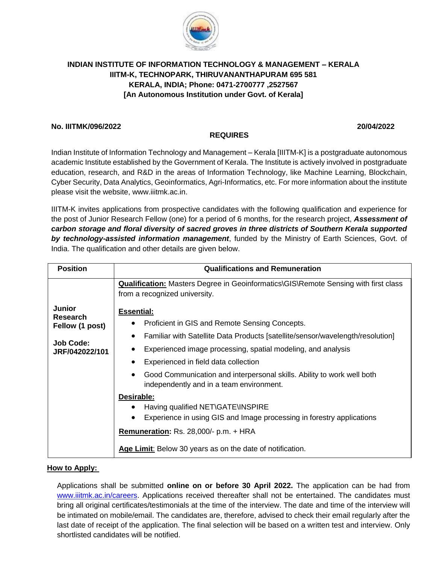

# **INDIAN INSTITUTE OF INFORMATION TECHNOLOGY & MANAGEMENT – KERALA IIITM-K, TECHNOPARK, THIRUVANANTHAPURAM 695 581 KERALA, INDIA; Phone: 0471-2700777 ,2527567 [An Autonomous Institution under Govt. of Kerala]**

## **No. IIITMK/096/2022 20/04/2022**

# Indian Institute of Information Technology and Management – Kerala [IIITM-K] is a postgraduate autonomous academic Institute established by the Government of Kerala. The Institute is actively involved in postgraduate education, research, and R&D in the areas of Information Technology, like Machine Learning, Blockchain, Cyber Security, Data Analytics, Geoinformatics, Agri-Informatics, etc. For more information about the institute please visit the website, [www.iiitmk.ac.in.](http://www.iiitmk.ac.in/)

**REQUIRES**

IIITM-K invites applications from prospective candidates with the following qualification and experience for the post of Junior Research Fellow (one) for a period of 6 months, for the research project, *Assessment of carbon storage and floral diversity of sacred groves in three districts of Southern Kerala supported by technology-assisted information management*, funded by the Ministry of Earth Sciences, Govt. of India. The qualification and other details are given below.

| <b>Position</b>           | <b>Qualifications and Remuneration</b>                                                                                          |
|---------------------------|---------------------------------------------------------------------------------------------------------------------------------|
|                           | <b>Qualification:</b> Masters Degree in Geoinformatics\GIS\Remote Sensing with first class<br>from a recognized university.     |
| Junior<br><b>Research</b> | <b>Essential:</b>                                                                                                               |
| Fellow (1 post)           | Proficient in GIS and Remote Sensing Concepts.                                                                                  |
| <b>Job Code:</b>          | Familiar with Satellite Data Products [satellite/sensor/wavelength/resolution]<br>٠                                             |
| JRF/042022/101            | Experienced image processing, spatial modeling, and analysis                                                                    |
|                           | Experienced in field data collection<br>$\bullet$                                                                               |
|                           | Good Communication and interpersonal skills. Ability to work well both<br>$\bullet$<br>independently and in a team environment. |
|                           | Desirable:                                                                                                                      |
|                           | Having qualified NET\GATE\INSPIRE                                                                                               |
|                           | Experience in using GIS and Image processing in forestry applications                                                           |
|                           | Remuneration: Rs. 28,000/- p.m. + HRA                                                                                           |
|                           | Age Limit: Below 30 years as on the date of notification.                                                                       |

## **How to Apply:**

Applications shall be submitted **online on or before 30 April 2022.** The application can be had from [www.iiitmk.ac.in/careers.](http://www.iiitmk.ac.in/careers) Applications received thereafter shall not be entertained. The candidates must bring all original certificates/testimonials at the time of the interview. The date and time of the interview will be intimated on mobile/email. The candidates are, therefore, advised to check their email regularly after the last date of receipt of the application. The final selection will be based on a written test and interview. Only shortlisted candidates will be notified.